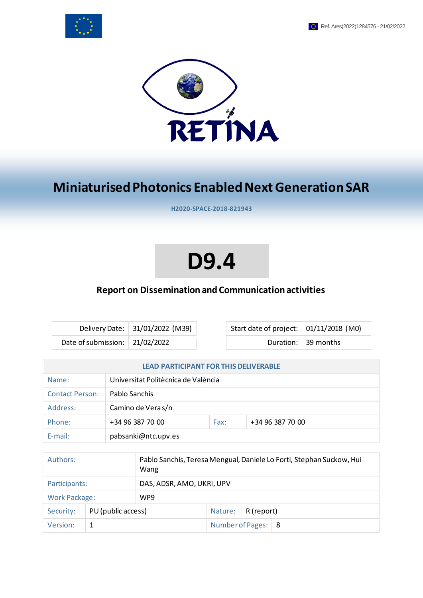



# **Miniaturised Photonics Enabled Next Generation SAR**

**H2020-SPACE-2018-821943**

# **D9.4**

# **Report on Dissemination and Communication activities**

|                                | Delivery Date: 31/01/2022 (M39) | Start da |
|--------------------------------|---------------------------------|----------|
| Date of submission: 21/02/2022 |                                 |          |

ate of project: | 01/11/2018 (M0) Duration:  $\vert$  39 months

| <b>LEAD PARTICIPANT FOR THIS DELIVERABLE</b> |                                     |      |                  |  |
|----------------------------------------------|-------------------------------------|------|------------------|--|
| Name:                                        | Universitat Politècnica de València |      |                  |  |
| <b>Contact Person:</b>                       | Pablo Sanchis                       |      |                  |  |
| Address:                                     | Camino de Vera s/n                  |      |                  |  |
| Phone:                                       | +34 96 387 70 00                    | Fax: | +34 96 387 70 00 |  |
| $F$ -mail:                                   | pabsanki@ntc.upv.es                 |      |                  |  |

| Authors:                        |  | Pablo Sanchis, Teresa Mengual, Daniele Lo Forti, Stephan Suckow, Hui<br>Wang |                      |  |  |
|---------------------------------|--|------------------------------------------------------------------------------|----------------------|--|--|
| Participants:                   |  | DAS, ADSR, AMO, UKRI, UPV                                                    |                      |  |  |
| <b>Work Package:</b>            |  | WP9                                                                          |                      |  |  |
| PU (public access)<br>Security: |  | Nature:                                                                      | R (report)           |  |  |
| Version:                        |  |                                                                              | Number of Pages:   8 |  |  |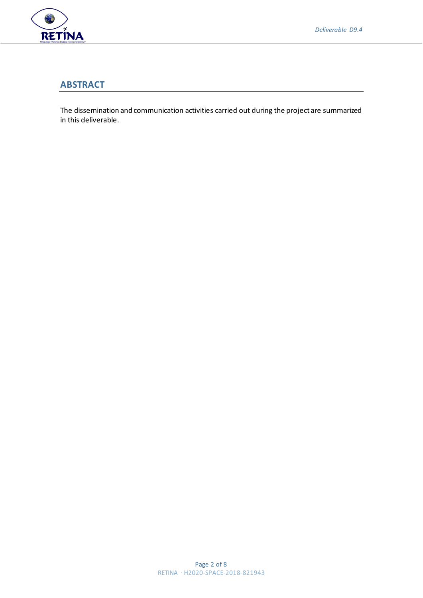

#### **ABSTRACT**

The dissemination and communication activities carried out during the project are summarized in this deliverable.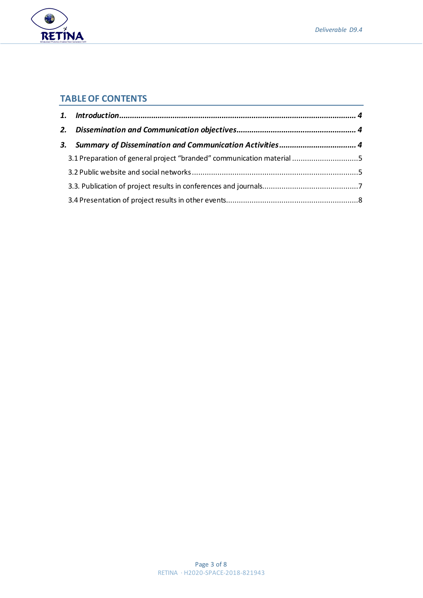

# **TABLE OF CONTENTS**

RETÍNA

| 3.1 Preparation of general project "branded" communication material 5 |  |  |
|-----------------------------------------------------------------------|--|--|
|                                                                       |  |  |
|                                                                       |  |  |
|                                                                       |  |  |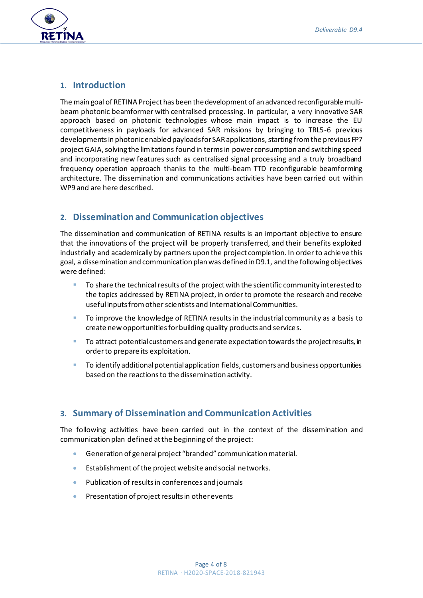

#### <span id="page-3-0"></span>**1. Introduction**

The main goal of RETINA Project has been the development of an advanced reconfigurable multibeam photonic beamformer with centralised processing. In particular, a very innovative SAR approach based on photonic technologies whose main impact is to increase the EU competitiveness in payloads for advanced SAR missions by bringing to TRL5-6 previous developments in photonic enabled payloads for SAR applications, starting from the previous FP7 project GAIA, solving the limitations found in terms in power consumption and switching speed and incorporating new features such as centralised signal processing and a truly broadband frequency operation approach thanks to the multi-beam TTD reconfigurable beamforming architecture. The dissemination and communications activities have been carried out within WP9 and are here described.

# <span id="page-3-1"></span>**2. Dissemination and Communication objectives**

The dissemination and communication of RETINA results is an important objective to ensure that the innovations of the project will be properly transferred, and their benefits exploited industrially and academically by partners upon the project completion. In order to achie ve this goal, a dissemination and communication plan was defined in D9.1, and the following objectives were defined:

- To share the technical results of the project with the scientific community interested to the topics addressed by RETINA project, in order to promote the research and receive useful inputs from other scientists and International Communities.
- To improve the knowledge of RETINA results in the industrial community as a basis to create new opportunities for building quality products and services.
- To attract potential customers and generate expectation towards the project results, in order to prepare its exploitation.
- To identify additional potential application fields, customers and business opportunities based on the reactions to the dissemination activity.

### <span id="page-3-2"></span>**3. Summary of Dissemination and Communication Activities**

The following activities have been carried out in the context of the dissemination and communication plan defined at the beginning of the project:

- Generation of general project "branded" communication material.
- Establishment of the project website and social networks.
- Publication of results in conferences and journals
- Presentation of project results in other events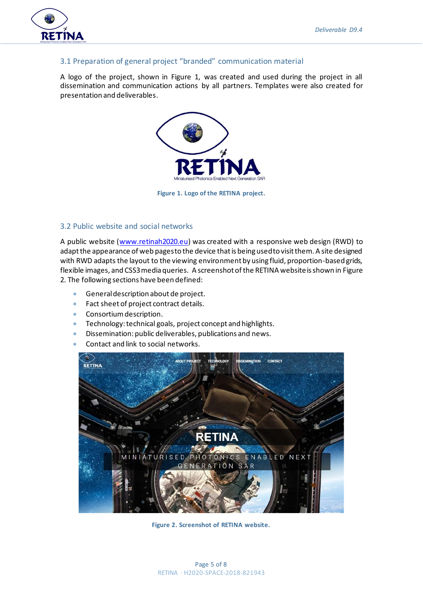

#### <span id="page-4-0"></span>3.1 Preparation of general project "branded" communication material

A logo of the project, shown in [Figure 1,](#page-4-2) was created and used during the project in all dissemination and communication actions by all partners. Templates were also created for presentation and deliverables.



**Figure 1. Logo of the RETINA project.**

#### <span id="page-4-2"></span><span id="page-4-1"></span>3.2 Public website and social networks

A public website [\(www.retinah2020.eu](http://www.retinah2020.eu/)) was created with a responsive web design (RWD) to adapt the appearance of web pages to the device that is being used to visit them. A site designed with RWD adapts the layout to the viewing environment by using fluid, proportion-based grids, flexible images, and CSS3 media queries. A screenshot of the RETINA website is shown i[n Figure](#page-4-3)  [2.](#page-4-3) The following sections have been defined:

- General description about de project.
- Fact sheet of project contract details.
- Consortium description.
- Technology: technical goals, project concept and highlights.
- Dissemination: public deliverables, publications and news.
- Contact and link to social networks.

<span id="page-4-3"></span>

**Figure 2. Screenshot of RETINA website.**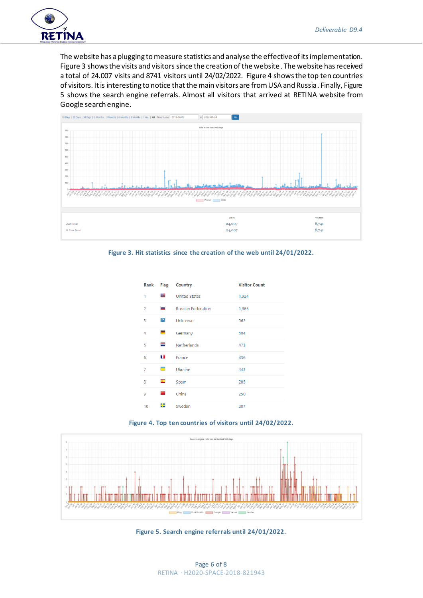

The website has a plugging to measure statistics and analyse the effective of its implementation. [Figure 3](#page-5-0) shows the visits and visitors since the creation of the website. The website has received a total of 24.007 visits and 8741 visitors until 24/02/2022. [Figure 4](#page-5-1) shows the top ten countries of visitors. It is interesting to notice that the main visitors are from USA and Russia. Finally[, Figure](#page-5-2)  [5](#page-5-2) shows the search engine referrals. Almost all visitors that arrived at RETINA website from Google search engine.



<span id="page-5-0"></span>

| Rank           | Flag           | Country                   | <b>Visitor Count</b> |
|----------------|----------------|---------------------------|----------------------|
| 1              | ≝              | <b>United States</b>      | 1,924                |
| $\overline{2}$ | -              | <b>Russian Federation</b> | 1,865                |
| 3              | 2              | Unknown                   | 962                  |
| 4              | ▀              | Germany                   | 504                  |
| 5              | =              | Netherlands               | 473                  |
| 6              | n n            | France                    | 436                  |
| 7              | $\equiv$       | Ukraine                   | 343                  |
| 8              | $\overline{C}$ | Spain                     | 285                  |
| 9              | ÷              | China                     | 250                  |
| 10             | ₩              | Sweden                    | 207                  |



<span id="page-5-1"></span>

<span id="page-5-2"></span>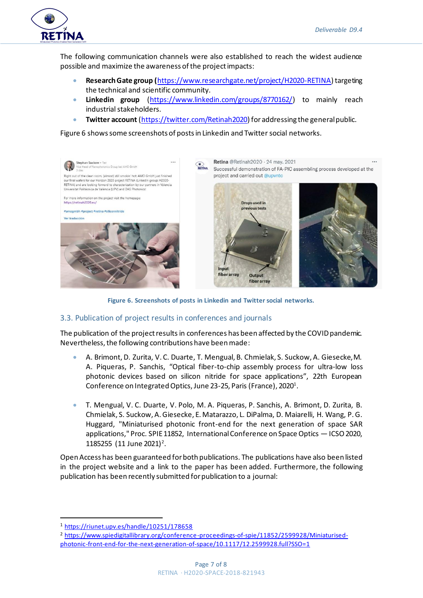

The following communication channels were also established to reach the widest audience possible and maximize the awareness of the project impacts:

- **Research Gate group (**<https://www.researchgate.net/project/H2020-RETINA>) targeting the technical and scientific community.
- **Linkedin group** [\(https://www.linkedin.com/groups/8770162/\)](https://www.linkedin.com/groups/8770162/) to mainly reach industrial stakeholders.
- **Twitter account** [\(https://twitter.com/Retinah2020\)](https://twitter.com/Retinah2020) for addressing the general public.

[Figure 6](#page-6-1) shows some screenshots of posts in Linkedin and Twitter social networks.



**Figure 6. Screenshots of posts in Linkedin and Twitter social networks.** 

#### <span id="page-6-1"></span><span id="page-6-0"></span>3.3. Publication of project results in conferences and journals

The publication of the project results in conferences has been affected by the COVID pandemic. Nevertheless, the following contributions have been made:

- A. Brimont, D. Zurita, V. C. Duarte, T. Mengual, B. Chmielak, S. Suckow, A. Giesecke, M. A. Piqueras, P. Sanchis, "Optical fiber-to-chip assembly process for ultra-low loss photonic devices based on silicon nitride for space applications", 22th European Conference on Integrated Optics, June 23-25, Paris (France), 2020 $^{\text{1}}$ .
- T. Mengual, V. C. Duarte, V. Polo, M. A. Piqueras, P. Sanchis, A. Brimont, D. Zurita, B. Chmielak, S. Suckow, A. Giesecke, E. Matarazzo, L. DiPalma, D. Maiarelli, H. Wang, P. G. Huggard, "Miniaturised photonic front-end for the next generation of space SAR applications," Proc. SPIE 11852, International Conference on Space Optics — ICSO 2020, 1185255 (11 June 2021)<sup>2</sup>.

Open Access has been guaranteed for both publications. The publications have also been listed in the project website and a link to the paper has been added. Furthermore, the following publication has been recently submitted for publication to a journal:

<sup>1</sup> <https://riunet.upv.es/handle/10251/178658>

<sup>2</sup> [https://www.spiedigitallibrary.org/conference-proceedings-of-spie/11852/2599928/Miniaturised](https://www.spiedigitallibrary.org/conference-proceedings-of-spie/11852/2599928/Miniaturised-photonic-front-end-for-the-next-generation-of-space/10.1117/12.2599928.full?SSO=1)[photonic-front-end-for-the-next-generation-of-space/10.1117/12.2599928.full?SSO=1](https://www.spiedigitallibrary.org/conference-proceedings-of-spie/11852/2599928/Miniaturised-photonic-front-end-for-the-next-generation-of-space/10.1117/12.2599928.full?SSO=1)